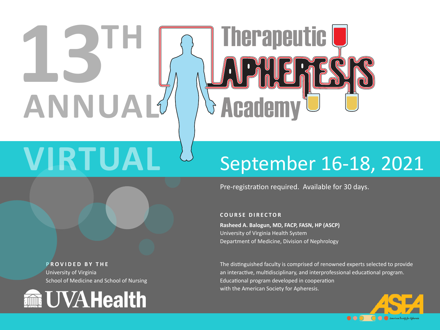# **13TH ANNUAL**

## **Therapeutic U S Academy**

## **VIRTUAL** September 16-18, 2021

Pre-registration required. Available for 30 days.

#### **COURSE DIRECTOR**

**Rasheed A. Balogun, MD, FACP, FASN, HP (ASCP)** University of Virginia Health System Department of Medicine, Division of Nephrology

The distinguished faculty is comprised of renowned experts selected to provide an interactive, multidisciplinary, and interprofessional educational program. Educational program developed in cooperation with the American Society for Apheresis.



**PROVIDED BY THE** University of Virginia School of Medicine and School of Nursing

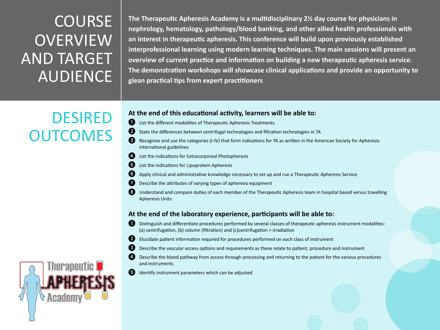### **COURSE OVERVIEW** AND TARGET AUDIENCE

DESIRED

**OUTCOMES** 

**The Therapeutic Apheresis Academy is a multidisciplinary 2½ day course for physicians in nephrology, hematology, pathology/blood banking, and other allied health professionals with an interest in therapeutic apheresis. This conference will build upon previously established interprofessional learning using modern learning techniques. The main sessions will present an overview of current practice and information on building a new therapeutic apheresis service. The demonstration workshops will showcase clinical applications and provide an opportunity to glean practical tips from expert practitioners**

#### **At the end of this educational activity, learners will be able to:**

- 1 List the different modalities of Therapeutic Apheresis Treatments
- 2 State the differences between centrifugal technologies and filtration technologies in TA
- 3 Recognize and use the categories (I-IV) that form indications for TA as written in the American Society for Apheresis international guidelines
- 4. List the indications for Extracorporeal Photopheresis
	- List the indications for Lipoprotein Apheresis
	- 6 Apply clinical and administrative knowledge necessary to set up and run a Therapeutic Apheresis Service
	- Describe the attributes of varying types of apheresis equipment
- 8 Understand and compare duties of each member of the Therapeutic Apheresis team in hospital based versus travelling Apheresis Units

#### **At the end of the laboratory experience, participants will be able to:**

- 1 Distinguish and differentiate procedures performed by several classes of therapeutic apheresis instrument modalities: (a) centrifugation, (b) column (filtration) and (c)centrifugation + irradiation
- 2 Elucidate patient information required for procedures performed on each class of instrument
- 3 Describe the vascular access options and requirements as these relate to patient, procedure and instrument
- Describe the blood pathway from access through processing and returning to the patient for the various procedures and instruments
- 5 Identify instrument parameters which can be adjusted

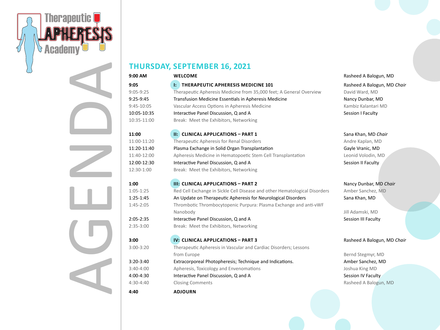

| <b>THURSDAY, SEPTEMBER 16, 2021</b> |                                                                            |                             |
|-------------------------------------|----------------------------------------------------------------------------|-----------------------------|
| 9:00 AM                             | <b>WELCOME</b>                                                             | Rasheed A Balogun, MD       |
| 9:05                                | I: THERAPEUTIC APHERESIS MEDICINE 101                                      | Rasheed A Balogun, MD Chair |
| $9:05-9:25$                         | Therapeutic Apheresis Medicine from 35,000 feet; A General Overview        | David Ward, MD              |
| $9:25-9:45$                         | Transfusion Medicine Essentials in Apheresis Medicine                      | Nancy Dunbar, MD            |
| $9:45-10:05$                        | Vascular Access Options in Apheresis Medicine                              | Kambiz Kalantari MD         |
| 10:05-10:35                         | Interactive Panel Discussion, Q and A                                      | Session I Faculty           |
| 10:35-11:00                         | Break: Meet the Exhibitors, Networking                                     |                             |
| 11:00                               | II: CLINICAL APPLICATIONS - PART 1                                         | Sana Khan, MD Chair         |
| 11:00-11:20                         | Therapeutic Apheresis for Renal Disorders                                  | Andre Kaplan, MD            |
| 11:20-11:40                         | Plasma Exchange in Solid Organ Transplantation                             | Gayle Vranic, MD            |
| 11:40-12:00                         | Apheresis Medicine in Hematopoetic Stem Cell Transplantation               | Leonid Volodin, MD          |
| 12:00-12:30                         | Interactive Panel Discussion, Q and A                                      | Session II Faculty          |
| 12:30-1:00                          | Break: Meet the Exhibitors, Networking                                     |                             |
| 1:00                                | <b>III: CLINICAL APPLICATIONS - PART 2</b>                                 | Nancy Dunbar, MD Chair      |
| $1:05-1:25$                         | Red Cell Exchange in Sickle Cell Disease and other Hematological Disorders | Amber Sanchez, MD           |
| $1:25-1:45$                         | An Update on Therapeutic Apheresis for Neurological Disorders              | Sana Khan, MD               |
| $1:45 - 2:05$                       | Thrombotic Thrombocytopenic Purpura: Plasma Exchange and anti-vWF          |                             |
|                                     | Nanobody                                                                   | Jill Adamski, MD            |
| $2:05 - 2:35$                       | Interactive Panel Discussion, Q and A                                      | Session III Faculty         |
| $2:35-3:00$                         | Break: Meet the Exhibitors, Networking                                     |                             |
| 3:00                                | IV: CLINICAL APPLICATIONS - PART 3                                         | Rasheed A Balogun, MD Chair |
| $3:00-3:20$                         | Therapeutic Apheresis in Vascular and Cardiac Disorders; Lessons           |                             |
|                                     | from Europe                                                                | Bernd Stegmyr, MD           |
| $3:20-3:40$                         | Extracorporeal Photopheresis; Technique and Indications.                   | Amber Sanchez, MD           |
| $3:40-4:00$                         | Apheresis, Toxicology and Envenomations                                    | Joshua King MD              |
| 4:00-4:30                           | Interactive Panel Discussion, Q and A                                      | Session IV Faculty          |
| $4:30-4:40$                         | <b>Closing Comments</b>                                                    | Rasheed A Balogun, MD       |
| 4:40                                | <b>ADJOURN</b>                                                             |                             |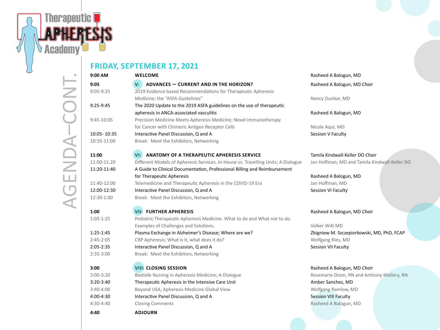

#### **FRIDAY, SEPTEMBER 17, 2021**

| 9:00 AM       | <b>WELCOME</b>                                                                    | Rasheed A Balogun, MD                         |
|---------------|-----------------------------------------------------------------------------------|-----------------------------------------------|
| 9:05          | <b>ADVANCES - CURRENT AND IN THE HORIZON?</b><br>V:                               | Rasheed A Balogun, MD Chair                   |
| $9:05-9:25$   | 2019 Evidence based Recommendations for Therapeutic Apheresis                     |                                               |
|               | Medicine; the "ASFA Guidelines"                                                   | Nancy Dunbar, MD                              |
| 9:25-9:45     | The 2020 Update to the 2019 ASFA guidelines on the use of therapeutic             |                                               |
|               | apheresis in ANCA-associated vasculitis                                           | Rasheed A Balogun, MD                         |
| 9:45-10:05    | Precision Medicine Meets Apheresis Medicine; Novel Immunotherapy                  |                                               |
|               | for Cancer with Chimeric Antigen Receptor Cells                                   | Nicole Aqui, MD                               |
| 10:05-10:35   | Interactive Panel Discussion, Q and A                                             | Session V Faculty                             |
| 10:35-11:00   | Break: Meet the Exhibitors, Networking                                            |                                               |
| 11:00         | ANATOMY OF A THERAPEUTIC APHERESIS SERVICE<br>VI:                                 | Tamila Kindwall-Keller DO Chair               |
| 11:00-11:20   | Different Models of Apheresis Services. In-House vs. Travelling Units; A Dialogue | Jan Hoffman, MD and Tamila Kindwall-Keller DO |
| 11:20-11:40   | A Guide to Clinical Documentation, Professional Billing and Reimbursement         |                                               |
|               | for Therapeutic Apheresis                                                         | Rasheed A Balogun, MD                         |
| 11:40-12:00   | Telemedicine and Therapeutic Apheresis in the COVID-19 Era                        | Jan Hoffman, MD                               |
| 12:00-12:30   | Interactive Panel Discussion, Q and A                                             | Session VI Faculty                            |
| 12:30-1:00    | Break: Meet the Exhibitors, Networking                                            |                                               |
| 1:00          | <b>VII: FURTHER APHERESIS</b>                                                     | Rasheed A Balogun, MD Chair                   |
| $1:05 - 1:25$ | Pediatric Therapeutic Apheresis Medicine. What to do and What not to do.          |                                               |
|               | Examples of Challenges and Solutions.                                             | Volker Witt MD                                |
| $1:25-1:45$   | Plasma Exchange in Alzheimer's Disease; Where are we?                             | Zbigniew M. Szczepiorkowski, MD, PhD, FCAP    |
| $2:45 - 2:05$ | CRP Apheresis; What is it, what does it do?                                       | Wolfgang Ries, MD                             |
| $2:05 - 2:35$ | Interactive Panel Discussion, Q and A                                             | Session VII Faculty                           |
| $2:35-3:00$   | Break: Meet the Exhibitors, Networking                                            |                                               |
| 3:00          | <b>VIII: CLOSING SESSION</b>                                                      | Rasheed A Balogun, MD Chair                   |
| $3:00-3:20$   | Bedside Nursing in Apheresis Medicine; A Dialogue                                 | Rosemarie Dizon, RN and Anthony Mallory, RN   |
| $3:20-3:40$   | Therapeutic Apheresis in the Intensive Care Unit                                  | Amber Sanchez, MD                             |
| $3:40-4:00$   | Beyond USA; Apheresis Medicine Global View                                        | Wolfgang Ramlow, MD                           |
| 4:00-4:30     | Interactive Panel Discussion, Q and A                                             | <b>Session VIII Faculty</b>                   |
| $4:30-4:40$   | <b>Closing Comments</b>                                                           | Rasheed A Balogun, MD                         |
| 4:40          | <b>ADJOURN</b>                                                                    |                                               |
|               |                                                                                   |                                               |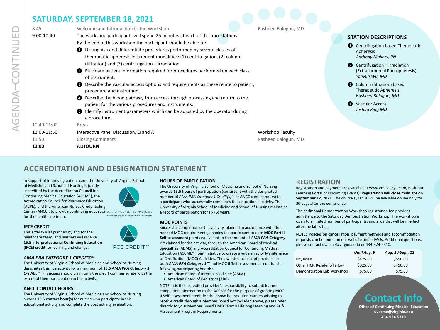#### **SATURDAY, SEPTEMBER 18, 2021**

| 8:45                                         | Welcome and Introduction to the Workshop                                                                                                                                                                                                                                                                                                                                                                                                                                                                                                                                                                                                                                                                                                           | Rasheed Balogun, MD                            |                                                                                                                                                                                                                                                                                                                            |
|----------------------------------------------|----------------------------------------------------------------------------------------------------------------------------------------------------------------------------------------------------------------------------------------------------------------------------------------------------------------------------------------------------------------------------------------------------------------------------------------------------------------------------------------------------------------------------------------------------------------------------------------------------------------------------------------------------------------------------------------------------------------------------------------------------|------------------------------------------------|----------------------------------------------------------------------------------------------------------------------------------------------------------------------------------------------------------------------------------------------------------------------------------------------------------------------------|
| $9:00 - 10:40$                               | The workshop participants will spend 25 minutes at each of the four stations.<br>By the end of this workshop the participant should be able to:<br>Distinguish and differentiate procedures performed by several classes of<br>therapeutic apheresis instrument modalities: (1) centrifugation, (2) column<br>(filtration) and (3) centrifugation + irradiation.<br>Elucidate patient information required for procedures performed on each class<br>❷<br>of instrument.<br><b>8</b> Describe the vascular access options and requirements as these relate to patient,<br>procedure and instrument.<br><b>O</b> Describe the blood pathway from access through processing and return to the<br>patient for the various procedures and instruments. |                                                | <b>STATION DESCRIPTIONS</b><br>Centrifugation based Therapeutic<br>Apheresis<br><b>Anthony Mallory, RN</b><br>$\bullet$ Centrifugation + Irradiation<br>(Extracorporeal Photopheresis)<br>Yanyun Wu, MD<br>Column (filtration) based<br><b>Therapeutic Apheresis</b><br>Rasheed Balogun, MD<br><b>Vascular Access</b><br>Ø |
| 10:40-11:00<br>11:00-11:50<br>11:50<br>12:00 | dentify instrument parameters which can be adjusted by the operator during<br>a procedure.<br><b>Break</b><br>Interactive Panel Discussion, Q and A<br><b>Closing Comments</b><br><b>ADJOURN</b>                                                                                                                                                                                                                                                                                                                                                                                                                                                                                                                                                   | <b>Workshop Faculty</b><br>Rasheed Balogun, MD | Joshua King MD                                                                                                                                                                                                                                                                                                             |

#### **ACCREDITATION AND DESIGNATION STATEMENT**

In support of improving patient care, the University of Virginia School

of Medicine and School of Nursing is jointly accredited by the Accreditation Council for Continuing Medical Education (ACCME), the Accreditation Council for Pharmacy Education (ACPE), and the American Nurses Credentialing Center (ANCC), to provide continuing education JOINTLY ACCREDITED PROVIDER

#### **IPCE CREDIT**

This activity was planned by and for the healthcare team, and learners will receive **15.5 Interprofessional Continuing Education (IPCE) credit** for learning and change.

#### *AMA PRA CATEGORY 1 CREDITS™*

The University of Virginia School of Medicine and School of Nursing designates this live activity for a maximum of **15.5** *AMA PRA Category 1 Credits.™* Physicians should claim only the credit commensurate with the extent of their participation in the activity.

#### **ANCC CONTACT HOURS**

The University of Virginia School of Medicine and School of Nursing awards **15.5 contact hour(s)** for nurses who participate in this educational activity and complete the post activity evaluation.

#### **HOURS OF PARTICIPATION**

The University of Virginia School of Medicine and School of Nursing awards **15.5 hours of participation** (consistent with the designated number of *AMA PRA Category 1 Credit(s)™* or ANCC contact hours) to a participant who successfully completes this educational activity. The University of Virginia School of Medicine and School of Nursing maintains a record of participation for six (6) years.

#### **MOC POINTS**

Successful completion of this activity, planned in accordance with the needed MOC requirements, enables the participant to earn **MOC Part II Self-assessment** points equivalent to the amount of *AMA PRA Category 1™* claimed for the activity, through the American Board of Medical Specialties (ABMS) and Accreditation Council for Continuing Medical Education (ACCME®) joint initiative to create a wide array of Maintenance of Certification (MOC) Activities. The awarded transcript provides for both *AMA PRA Category 1™* and MOC II Self-assessment credit for the following participating boards:

- American Board of Internal Medicine (ABIM)
- American Board of Pediatrics (ABP)

NOTE: It is the accredited provider's responsibility to submit learner completion information to the ACCME for the purpose of granting MOC II Self-assessment credit for the above boards. For learners wishing to receive credit through a Member Board not included above, please refer directly to your Member Board's MOC Part II Lifelong Learning and Self-Assessment Program Requirements.

#### **REGISTRATION**

Registration and payment are available at www.cmevillage.com, (visit our Learning Portal or Upcoming Events). **Registration will close midnight on September 12, 2021.** The course syllabus will be available online only for 30 days after the conference.

The additional Demonstration Workshop registration fee provides admittance to the Saturday Demonstration Workshop. The workshop is open to a limited number of participants, and a waitlist will be in effect after the lab is full.

NOTE: Policies on cancellation, payment methods and accommodation requests can be found on our website under FAQs. Additional questions, please contact uvacme@virginia.edu or 434-924-5310.

|                            | Until Aug. 9 | Aug. 10-Sept. 12 |
|----------------------------|--------------|------------------|
| Physician                  | \$425.00     | \$550.00         |
| Other HCP, Resident/Fellow | \$325.00     | \$450.00         |
| Demonstration Lab Workshop | \$75.00      | \$75.00          |

#### **Contact Info**

**Office of Continuing Medical Education uvacme@virginia.edu 434-924-5310**



**IPCE CREDIT™** 

INTERPROFESSIONAL CONTINUING EDUCATIO for the healthcare team.

AGENDA–CONTINUED GENDA-CONTINUED